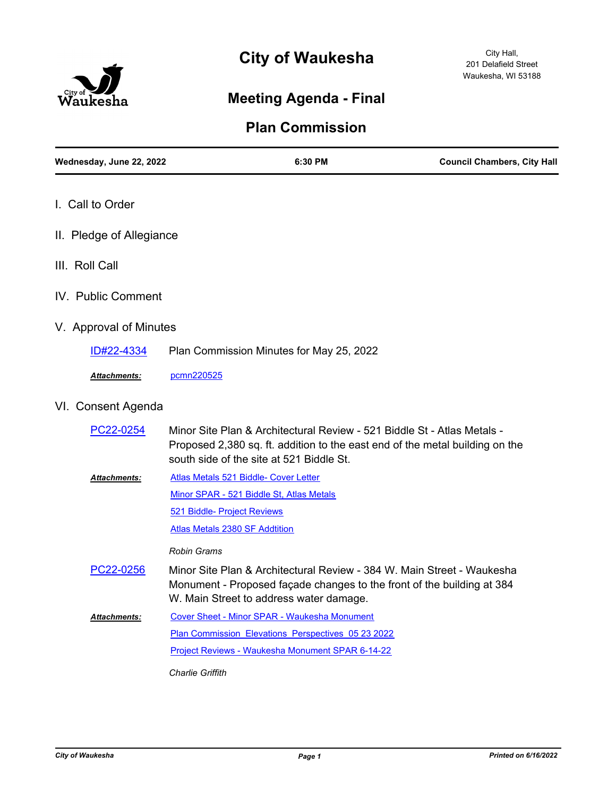



# **Meeting Agenda - Final**

## **Plan Commission**

| Wednesday, June 22, 2022 |                                       | 6:30 PM                                                                                                             | <b>Council Chambers, City Hall</b>                                                                                                               |  |
|--------------------------|---------------------------------------|---------------------------------------------------------------------------------------------------------------------|--------------------------------------------------------------------------------------------------------------------------------------------------|--|
| I. Call to Order         |                                       |                                                                                                                     |                                                                                                                                                  |  |
| II. Pledge of Allegiance |                                       |                                                                                                                     |                                                                                                                                                  |  |
| III. Roll Call           |                                       |                                                                                                                     |                                                                                                                                                  |  |
| IV. Public Comment       |                                       |                                                                                                                     |                                                                                                                                                  |  |
| V. Approval of Minutes   |                                       |                                                                                                                     |                                                                                                                                                  |  |
| ID#22-4334               |                                       | Plan Commission Minutes for May 25, 2022                                                                            |                                                                                                                                                  |  |
| Attachments:             | pcmn220525                            |                                                                                                                     |                                                                                                                                                  |  |
| VI. Consent Agenda       |                                       |                                                                                                                     |                                                                                                                                                  |  |
| PC22-0254                |                                       | Minor Site Plan & Architectural Review - 521 Biddle St - Atlas Metals -<br>south side of the site at 521 Biddle St. | Proposed 2,380 sq. ft. addition to the east end of the metal building on the                                                                     |  |
| Attachments:             | Atlas Metals 521 Biddle- Cover Letter |                                                                                                                     |                                                                                                                                                  |  |
|                          |                                       | Minor SPAR - 521 Biddle St, Atlas Metals                                                                            |                                                                                                                                                  |  |
|                          | 521 Biddle- Project Reviews           |                                                                                                                     |                                                                                                                                                  |  |
|                          | <b>Atlas Metals 2380 SF Addtition</b> |                                                                                                                     |                                                                                                                                                  |  |
|                          | <b>Robin Grams</b>                    |                                                                                                                     |                                                                                                                                                  |  |
| PC22-0256                |                                       | W. Main Street to address water damage.                                                                             | Minor Site Plan & Architectural Review - 384 W. Main Street - Waukesha<br>Monument - Proposed façade changes to the front of the building at 384 |  |
| <b>Attachments:</b>      |                                       | Cover Sheet - Minor SPAR - Waukesha Monument                                                                        |                                                                                                                                                  |  |
|                          |                                       | Plan Commission Elevations Perspectives 05 23 2022                                                                  |                                                                                                                                                  |  |
|                          |                                       | Project Reviews - Waukesha Monument SPAR 6-14-22                                                                    |                                                                                                                                                  |  |

*Charlie Griffith*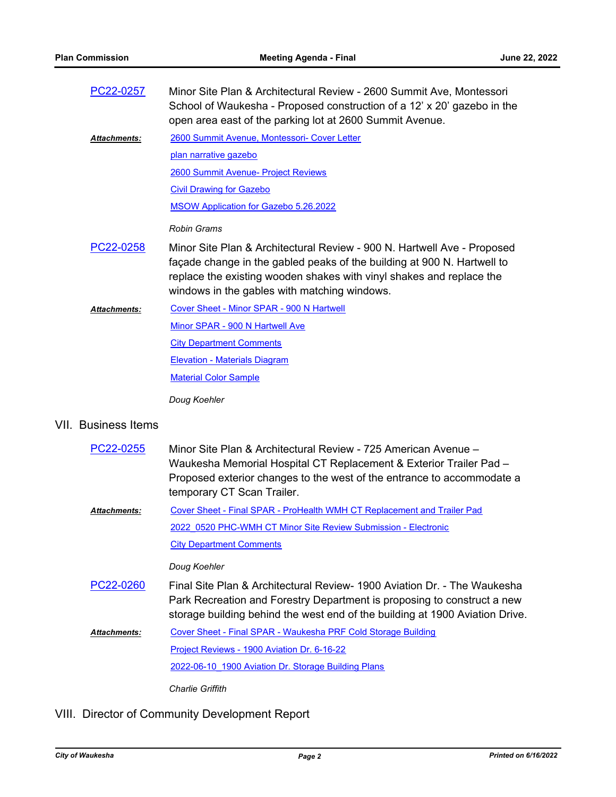| PC22-0257           | Minor Site Plan & Architectural Review - 2600 Summit Ave, Montessori                                                                |
|---------------------|-------------------------------------------------------------------------------------------------------------------------------------|
|                     | School of Waukesha - Proposed construction of a 12' x 20' gazebo in the<br>open area east of the parking lot at 2600 Summit Avenue. |
| <b>Attachments:</b> | 2600 Summit Avenue, Montessori- Cover Letter<br>والمتحالم تستمتع المتحدد والقائم ومتحامل المتحاربات                                 |

[plan narrative gazebo](http://waukesha.legistar.com/gateway.aspx?M=F&ID=8e0c4118-a719-410e-b3c3-52c53e53aae6.pdf) [2600 Summit Avenue- Project Reviews](http://waukesha.legistar.com/gateway.aspx?M=F&ID=4264c47a-32c7-4f85-a1c6-9e466839d48a.pdf) [Civil Drawing for Gazebo](http://waukesha.legistar.com/gateway.aspx?M=F&ID=7c2de4d4-229a-4974-bbb4-813c7c96899a.pdf)

[MSOW Application for Gazebo 5.26.2022](http://waukesha.legistar.com/gateway.aspx?M=F&ID=862ac210-fa14-410d-84f5-8c7ffeae859f.pdf)

#### *Robin Grams*

- Minor Site Plan & Architectural Review 900 N. Hartwell Ave Proposed façade change in the gabled peaks of the building at 900 N. Hartwell to replace the existing wooden shakes with vinyl shakes and replace the windows in the gables with matching windows. [PC22-0258](http://waukesha.legistar.com/gateway.aspx?m=l&id=/matter.aspx?key=17131)
- [Cover Sheet Minor SPAR 900 N Hartwell](http://waukesha.legistar.com/gateway.aspx?M=F&ID=17368511-279b-4fcd-a9b8-80e3e2d7cc59.pdf) [Minor SPAR - 900 N Hartwell Ave](http://waukesha.legistar.com/gateway.aspx?M=F&ID=ae0c53a8-306e-4fb1-abe9-a7c51f7b8a41.pdf) **[City Department Comments](http://waukesha.legistar.com/gateway.aspx?M=F&ID=f1e7052e-d6a3-4969-8dc7-6f8695071345.pdf)** [Elevation - Materials Diagram](http://waukesha.legistar.com/gateway.aspx?M=F&ID=6135ec6f-073d-4edd-a81b-947adc54d8f3.pdf) [Material Color Sample](http://waukesha.legistar.com/gateway.aspx?M=F&ID=0aa619d7-ba1e-4c87-a72d-4b99862a4989.pdf) *Attachments: Doug Koehler*

#### VII. Business Items

| PC22-0255           | Minor Site Plan & Architectural Review - 725 American Avenue –<br>Waukesha Memorial Hospital CT Replacement & Exterior Trailer Pad –<br>Proposed exterior changes to the west of the entrance to accommodate a<br>temporary CT Scan Trailer. |
|---------------------|----------------------------------------------------------------------------------------------------------------------------------------------------------------------------------------------------------------------------------------------|
| <b>Attachments:</b> | Cover Sheet - Final SPAR - ProHealth WMH CT Replacement and Trailer Pad                                                                                                                                                                      |
|                     | 2022 0520 PHC-WMH CT Minor Site Review Submission - Electronic                                                                                                                                                                               |
|                     | <b>City Department Comments</b>                                                                                                                                                                                                              |
|                     | Doug Koehler                                                                                                                                                                                                                                 |
| PC22-0260           | Final Site Plan & Architectural Review- 1900 Aviation Dr. - The Waukesha<br>Park Recreation and Forestry Department is proposing to construct a new<br>storage building behind the west end of the building at 1900 Aviation Drive.          |
| <b>Attachments:</b> | Cover Sheet - Final SPAR - Waukesha PRF Cold Storage Building                                                                                                                                                                                |
|                     | Project Reviews - 1900 Aviation Dr. 6-16-22                                                                                                                                                                                                  |
|                     | 2022-06-10 1900 Aviation Dr. Storage Building Plans                                                                                                                                                                                          |
|                     | Charlie Griffith                                                                                                                                                                                                                             |

VIII. Director of Community Development Report